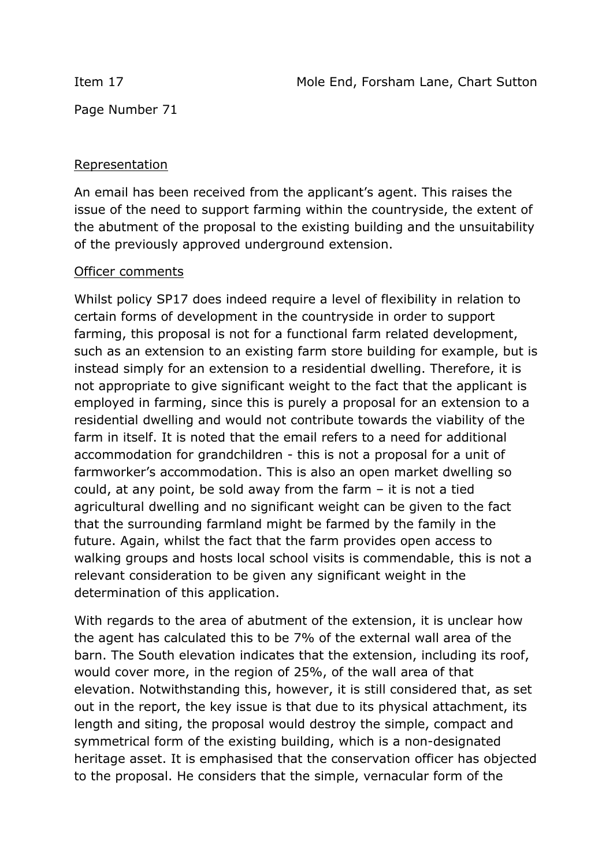Page Number 71

## Representation

An email has been received from the applicant's agent. This raises the issue of the need to support farming within the countryside, the extent of the abutment of the proposal to the existing building and the unsuitability of the previously approved underground extension.

## Officer comments

Whilst policy SP17 does indeed require a level of flexibility in relation to certain forms of development in the countryside in order to support farming, this proposal is not for a functional farm related development, such as an extension to an existing farm store building for example, but is instead simply for an extension to a residential dwelling. Therefore, it is not appropriate to give significant weight to the fact that the applicant is employed in farming, since this is purely a proposal for an extension to a residential dwelling and would not contribute towards the viability of the farm in itself. It is noted that the email refers to a need for additional accommodation for grandchildren - this is not a proposal for a unit of farmworker's accommodation. This is also an open market dwelling so could, at any point, be sold away from the farm – it is not a tied agricultural dwelling and no significant weight can be given to the fact that the surrounding farmland might be farmed by the family in the future. Again, whilst the fact that the farm provides open access to walking groups and hosts local school visits is commendable, this is not a relevant consideration to be given any significant weight in the determination of this application.

With regards to the area of abutment of the extension, it is unclear how the agent has calculated this to be 7% of the external wall area of the barn. The South elevation indicates that the extension, including its roof, would cover more, in the region of 25%, of the wall area of that elevation. Notwithstanding this, however, it is still considered that, as set out in the report, the key issue is that due to its physical attachment, its length and siting, the proposal would destroy the simple, compact and symmetrical form of the existing building, which is a non-designated heritage asset. It is emphasised that the conservation officer has objected to the proposal. He considers that the simple, vernacular form of the